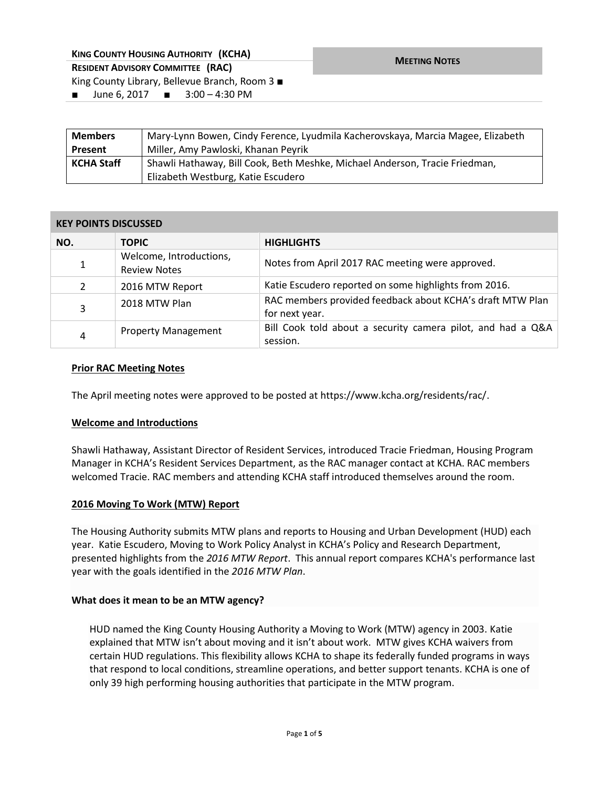| <b>KING COUNTY HOUSING AUTHORITY (KCHA)</b>                 | <b>MEETING NOTES</b> |
|-------------------------------------------------------------|----------------------|
| <b>RESIDENT ADVISORY COMMITTEE (RAC)</b>                    |                      |
| King County Library, Bellevue Branch, Room $3 \blacksquare$ |                      |
| ■ June 6, 2017 ■ 3:00 – 4:30 PM                             |                      |

| <b>Members</b>    | Mary-Lynn Bowen, Cindy Ference, Lyudmila Kacherovskaya, Marcia Magee, Elizabeth |  |
|-------------------|---------------------------------------------------------------------------------|--|
| <b>Present</b>    | Miller, Amy Pawloski, Khanan Peyrik                                             |  |
| <b>KCHA Staff</b> | Shawli Hathaway, Bill Cook, Beth Meshke, Michael Anderson, Tracie Friedman,     |  |
|                   | Elizabeth Westburg, Katie Escudero                                              |  |

### **KEY POINTS DISCUSSED**

| NO.            | <b>TOPIC</b>                                   | <b>HIGHLIGHTS</b>                                                           |
|----------------|------------------------------------------------|-----------------------------------------------------------------------------|
| $\mathbf{1}$   | Welcome, Introductions,<br><b>Review Notes</b> | Notes from April 2017 RAC meeting were approved.                            |
| $\overline{2}$ | 2016 MTW Report                                | Katie Escudero reported on some highlights from 2016.                       |
| 3              | 2018 MTW Plan                                  | RAC members provided feedback about KCHA's draft MTW Plan<br>for next year. |
| 4              | <b>Property Management</b>                     | Bill Cook told about a security camera pilot, and had a Q&A<br>session.     |

### **Prior RAC Meeting Notes**

The April meeting notes were approved to be posted at https://www.kcha.org/residents/rac/.

## **Welcome and Introductions**

Shawli Hathaway, Assistant Director of Resident Services, introduced Tracie Friedman, Housing Program Manager in KCHA's Resident Services Department, as the RAC manager contact at KCHA. RAC members welcomed Tracie. RAC members and attending KCHA staff introduced themselves around the room.

## **2016 Moving To Work (MTW) Report**

The Housing Authority submits MTW plans and reports to Housing and Urban Development (HUD) each year. Katie Escudero, Moving to Work Policy Analyst in KCHA's Policy and Research Department, presented highlights from the *2016 MTW Report*. This annual report compares KCHA's performance last year with the goals identified in the *2016 MTW Plan*.

#### **What does it mean to be an MTW agency?**

HUD named the King County Housing Authority a Moving to Work (MTW) agency in 2003. Katie explained that MTW isn't about moving and it isn't about work. MTW gives KCHA waivers from certain HUD regulations. This flexibility allows KCHA to shape its federally funded programs in ways that respond to local conditions, streamline operations, and better support tenants. KCHA is one of only 39 high performing housing authorities that participate in the MTW program.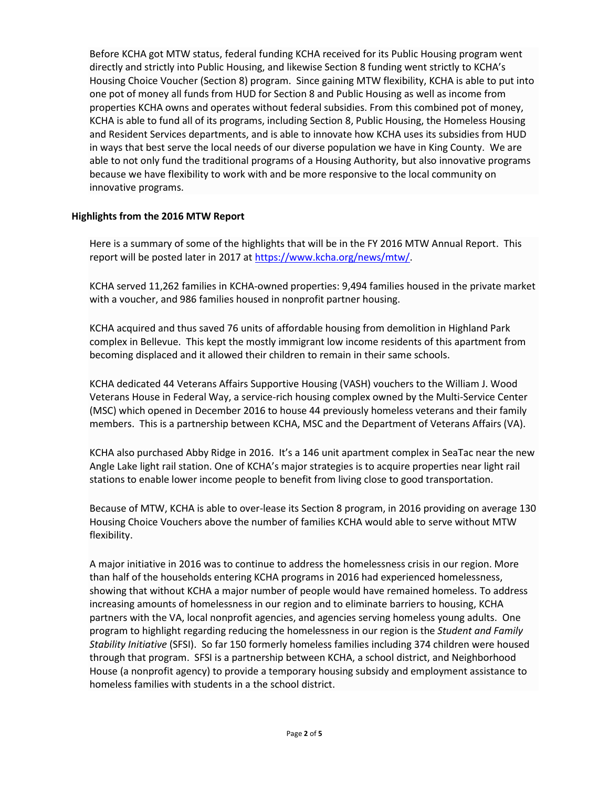Before KCHA got MTW status, federal funding KCHA received for its Public Housing program went directly and strictly into Public Housing, and likewise Section 8 funding went strictly to KCHA's Housing Choice Voucher (Section 8) program. Since gaining MTW flexibility, KCHA is able to put into one pot of money all funds from HUD for Section 8 and Public Housing as well as income from properties KCHA owns and operates without federal subsidies. From this combined pot of money, KCHA is able to fund all of its programs, including Section 8, Public Housing, the Homeless Housing and Resident Services departments, and is able to innovate how KCHA uses its subsidies from HUD in ways that best serve the local needs of our diverse population we have in King County. We are able to not only fund the traditional programs of a Housing Authority, but also innovative programs because we have flexibility to work with and be more responsive to the local community on innovative programs.

# **Highlights from the 2016 MTW Report**

Here is a summary of some of the highlights that will be in the FY 2016 MTW Annual Report. This report will be posted later in 2017 at [https://www.kcha.org/news/mtw/.](https://www.kcha.org/news/mtw/)

KCHA served 11,262 families in KCHA-owned properties: 9,494 families housed in the private market with a voucher, and 986 families housed in nonprofit partner housing.

KCHA acquired and thus saved 76 units of affordable housing from demolition in Highland Park complex in Bellevue. This kept the mostly immigrant low income residents of this apartment from becoming displaced and it allowed their children to remain in their same schools.

KCHA dedicated 44 Veterans Affairs Supportive Housing (VASH) vouchers to the William J. Wood Veterans House in Federal Way, a service-rich housing complex owned by the Multi-Service Center (MSC) which opened in December 2016 to house 44 previously homeless veterans and their family members. This is a partnership between KCHA, MSC and the Department of Veterans Affairs (VA).

KCHA also purchased Abby Ridge in 2016. It's a 146 unit apartment complex in SeaTac near the new Angle Lake light rail station. One of KCHA's major strategies is to acquire properties near light rail stations to enable lower income people to benefit from living close to good transportation.

Because of MTW, KCHA is able to over-lease its Section 8 program, in 2016 providing on average 130 Housing Choice Vouchers above the number of families KCHA would able to serve without MTW flexibility.

A major initiative in 2016 was to continue to address the homelessness crisis in our region. More than half of the households entering KCHA programs in 2016 had experienced homelessness, showing that without KCHA a major number of people would have remained homeless. To address increasing amounts of homelessness in our region and to eliminate barriers to housing, KCHA partners with the VA, local nonprofit agencies, and agencies serving homeless young adults. One program to highlight regarding reducing the homelessness in our region is the *Student and Family Stability Initiative* (SFSI). So far 150 formerly homeless families including 374 children were housed through that program. SFSI is a partnership between KCHA, a school district, and Neighborhood House (a nonprofit agency) to provide a temporary housing subsidy and employment assistance to homeless families with students in a the school district.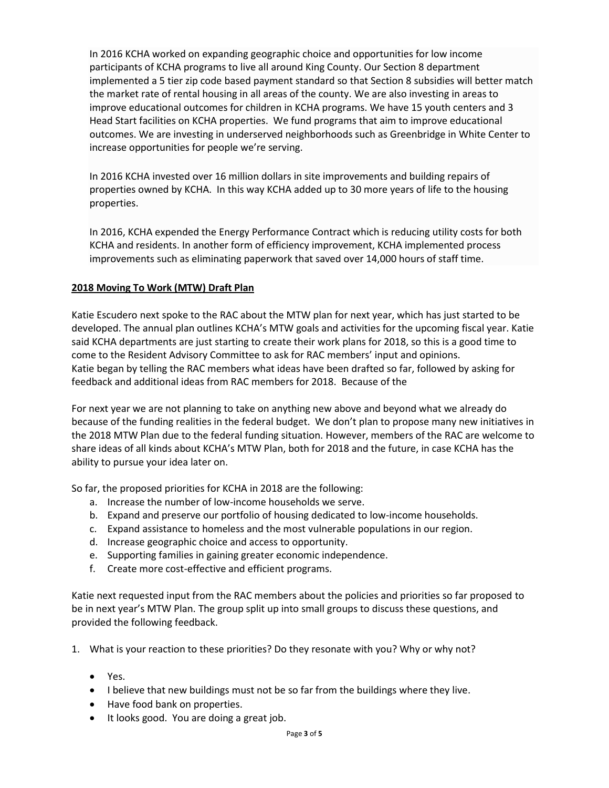In 2016 KCHA worked on expanding geographic choice and opportunities for low income participants of KCHA programs to live all around King County. Our Section 8 department implemented a 5 tier zip code based payment standard so that Section 8 subsidies will better match the market rate of rental housing in all areas of the county. We are also investing in areas to improve educational outcomes for children in KCHA programs. We have 15 youth centers and 3 Head Start facilities on KCHA properties. We fund programs that aim to improve educational outcomes. We are investing in underserved neighborhoods such as Greenbridge in White Center to increase opportunities for people we're serving.

In 2016 KCHA invested over 16 million dollars in site improvements and building repairs of properties owned by KCHA. In this way KCHA added up to 30 more years of life to the housing properties.

In 2016, KCHA expended the Energy Performance Contract which is reducing utility costs for both KCHA and residents. In another form of efficiency improvement, KCHA implemented process improvements such as eliminating paperwork that saved over 14,000 hours of staff time.

# **2018 Moving To Work (MTW) Draft Plan**

Katie Escudero next spoke to the RAC about the MTW plan for next year, which has just started to be developed. The annual plan outlines KCHA's MTW goals and activities for the upcoming fiscal year. Katie said KCHA departments are just starting to create their work plans for 2018, so this is a good time to come to the Resident Advisory Committee to ask for RAC members' input and opinions. Katie began by telling the RAC members what ideas have been drafted so far, followed by asking for feedback and additional ideas from RAC members for 2018. Because of the

For next year we are not planning to take on anything new above and beyond what we already do because of the funding realities in the federal budget. We don't plan to propose many new initiatives in the 2018 MTW Plan due to the federal funding situation. However, members of the RAC are welcome to share ideas of all kinds about KCHA's MTW Plan, both for 2018 and the future, in case KCHA has the ability to pursue your idea later on.

So far, the proposed priorities for KCHA in 2018 are the following:

- a. Increase the number of low-income households we serve.
- b. Expand and preserve our portfolio of housing dedicated to low-income households.
- c. Expand assistance to homeless and the most vulnerable populations in our region.
- d. Increase geographic choice and access to opportunity.
- e. Supporting families in gaining greater economic independence.
- f. Create more cost-effective and efficient programs.

Katie next requested input from the RAC members about the policies and priorities so far proposed to be in next year's MTW Plan. The group split up into small groups to discuss these questions, and provided the following feedback.

- 1. What is your reaction to these priorities? Do they resonate with you? Why or why not?
	- Yes.
	- I believe that new buildings must not be so far from the buildings where they live.
	- Have food bank on properties.
	- It looks good. You are doing a great job.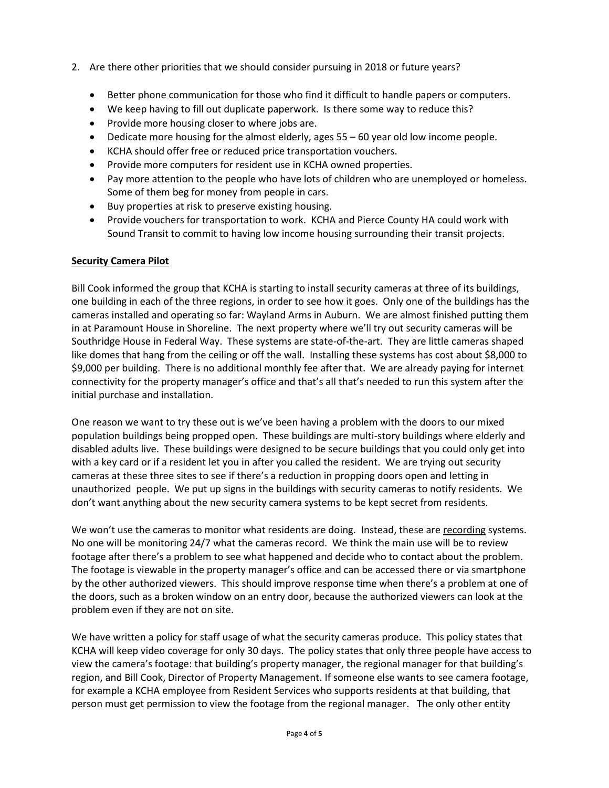- 2. Are there other priorities that we should consider pursuing in 2018 or future years?
	- Better phone communication for those who find it difficult to handle papers or computers.
	- We keep having to fill out duplicate paperwork. Is there some way to reduce this?
	- Provide more housing closer to where jobs are.
	- Dedicate more housing for the almost elderly, ages 55 60 year old low income people.
	- KCHA should offer free or reduced price transportation vouchers.
	- Provide more computers for resident use in KCHA owned properties.
	- Pay more attention to the people who have lots of children who are unemployed or homeless. Some of them beg for money from people in cars.
	- Buy properties at risk to preserve existing housing.
	- Provide vouchers for transportation to work. KCHA and Pierce County HA could work with Sound Transit to commit to having low income housing surrounding their transit projects.

## **Security Camera Pilot**

Bill Cook informed the group that KCHA is starting to install security cameras at three of its buildings, one building in each of the three regions, in order to see how it goes. Only one of the buildings has the cameras installed and operating so far: Wayland Arms in Auburn. We are almost finished putting them in at Paramount House in Shoreline. The next property where we'll try out security cameras will be Southridge House in Federal Way. These systems are state-of-the-art. They are little cameras shaped like domes that hang from the ceiling or off the wall. Installing these systems has cost about \$8,000 to \$9,000 per building. There is no additional monthly fee after that. We are already paying for internet connectivity for the property manager's office and that's all that's needed to run this system after the initial purchase and installation.

One reason we want to try these out is we've been having a problem with the doors to our mixed population buildings being propped open. These buildings are multi-story buildings where elderly and disabled adults live. These buildings were designed to be secure buildings that you could only get into with a key card or if a resident let you in after you called the resident. We are trying out security cameras at these three sites to see if there's a reduction in propping doors open and letting in unauthorized people. We put up signs in the buildings with security cameras to notify residents. We don't want anything about the new security camera systems to be kept secret from residents.

We won't use the cameras to monitor what residents are doing. Instead, these are recording systems. No one will be monitoring 24/7 what the cameras record. We think the main use will be to review footage after there's a problem to see what happened and decide who to contact about the problem. The footage is viewable in the property manager's office and can be accessed there or via smartphone by the other authorized viewers. This should improve response time when there's a problem at one of the doors, such as a broken window on an entry door, because the authorized viewers can look at the problem even if they are not on site.

We have written a policy for staff usage of what the security cameras produce. This policy states that KCHA will keep video coverage for only 30 days. The policy states that only three people have access to view the camera's footage: that building's property manager, the regional manager for that building's region, and Bill Cook, Director of Property Management. If someone else wants to see camera footage, for example a KCHA employee from Resident Services who supports residents at that building, that person must get permission to view the footage from the regional manager. The only other entity